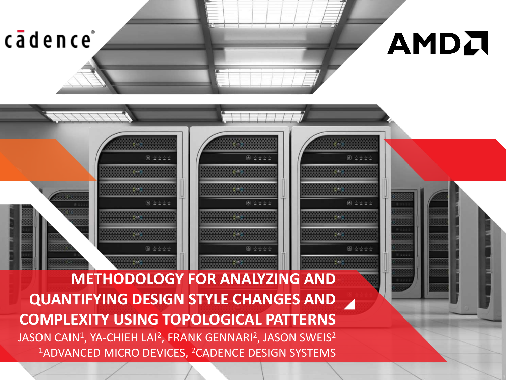cādence

# AMDA

**METHODOLOGY FOR ANALYZING AND QUANTIFYING DESIGN STYLE CHANGES AND COMPLEXITY USING TOPOLOGICAL PATTERNS** JASON CAIN $^1$ , YA-CHIEH LAI $^2$ , FRANK GENNARI $^2$ , JASON SWEIS $^2$ <sup>1</sup>ADVANCED MICRO DEVICES, <sup>2</sup>CADENCE DESIGN SYSTEMS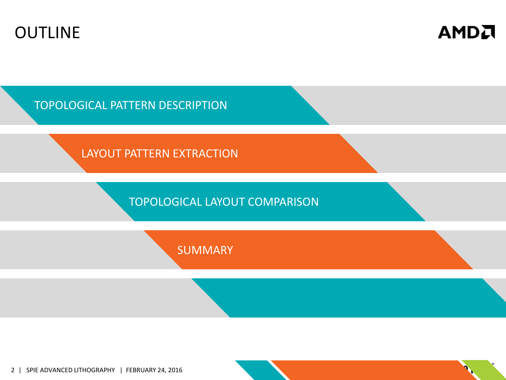



TOPOLOGICAL PATTERN DESCRIPTION

LAYOUT PATTERN EXTRACTION

TOPOLOGICAL LAYOUT COMPARISON

**SUMMARY** 

2 | SPIE ADVANCED LITHOGRAPHY | FEBRUARY 24, 2016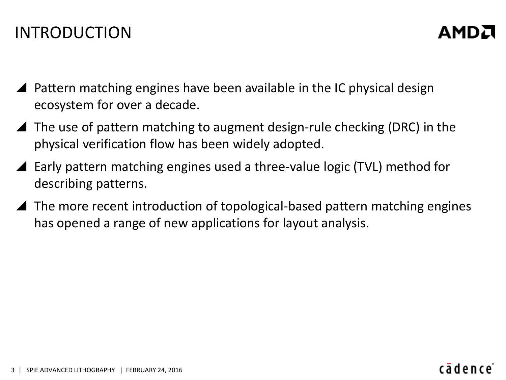# INTRODUCTION

- Pattern matching engines have been available in the IC physical design ecosystem for over a decade.
- $\blacktriangle$  The use of pattern matching to augment design-rule checking (DRC) in the physical verification flow has been widely adopted.
- Early pattern matching engines used a three-value logic (TVL) method for describing patterns.
- The more recent introduction of topological-based pattern matching engines has opened a range of new applications for layout analysis.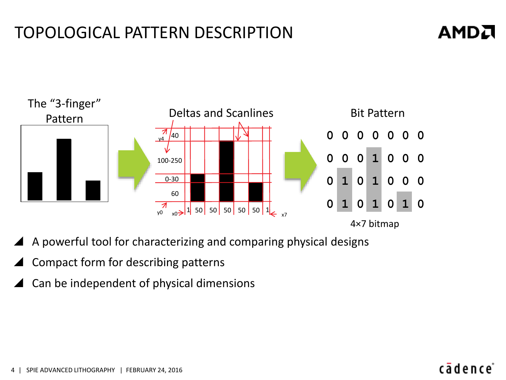# TOPOLOGICAL PATTERN DESCRIPTION

# **AMDA**



- A powerful tool for characterizing and comparing physical designs
- Compact form for describing patterns
- Can be independent of physical dimensions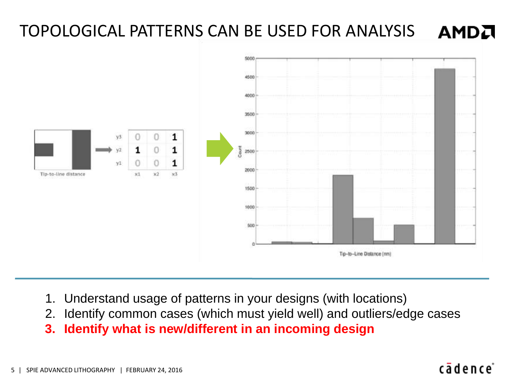### TOPOLOGICAL PATTERNS CAN BE USED FOR ANALYSIS AMDA



- 1. Understand usage of patterns in your designs (with locations)
- 2. Identify common cases (which must yield well) and outliers/edge cases
- **3. Identify what is new/different in an incoming design**

### 5 | SPIE ADVANCED LITHOGRAPHY | FEBRUARY 24, 2016

# cādence<sup>®</sup>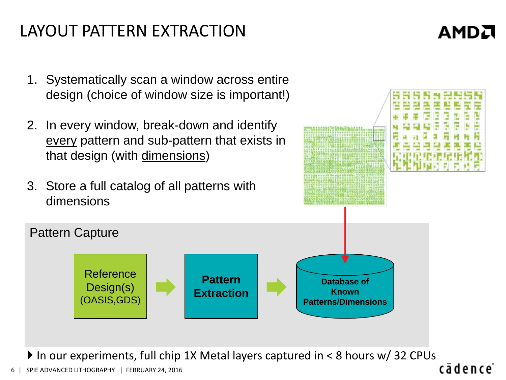# LAYOUT PATTERN EXTRACTION

# AMDA

- 1. Systematically scan a window across entire design (choice of window size is important!)
- 2. In every window, break-down and identify every pattern and sub-pattern that exists in that design (with dimensions)
- 3. Store a full catalog of all patterns with dimensions



▶ In our experiments, full chip 1X Metal layers captured in < 8 hours w/ 32 CPUs cādence

**Pattern Extraction**

SPIE ADVANCED LITHOGRAPHY | FEBRUARY 24, 2016

Reference

Pattern Capture

Design(s) (OASIS,GDS)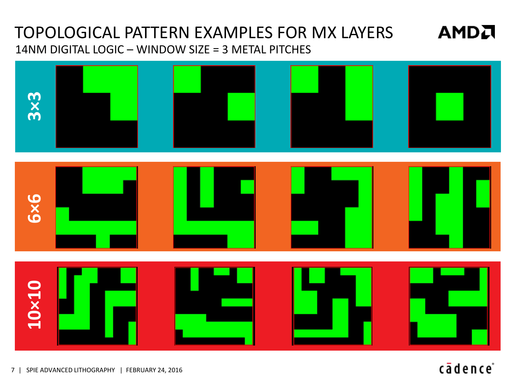# TOPOLOGICAL PATTERN EXAMPLES FOR MX LAYERS 14NM DIGITAL LOGIC – WINDOW SIZE = 3 METAL PITCHES



7 | SPIE ADVANCED LITHOGRAPHY | FEBRUARY 24, 2016

# cādence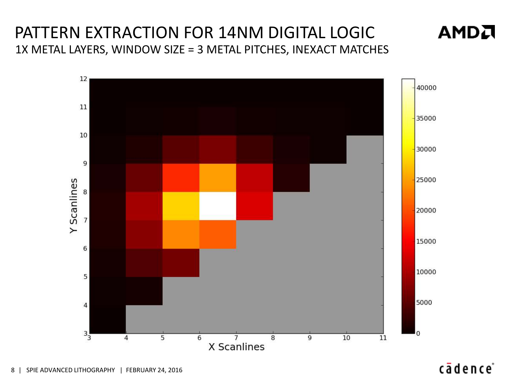# PATTERN EXTRACTION FOR 14NM DIGITAL LOGIC 1X METAL LAYERS, WINDOW SIZE = 3 METAL PITCHES, INEXACT MATCHES

AMDA

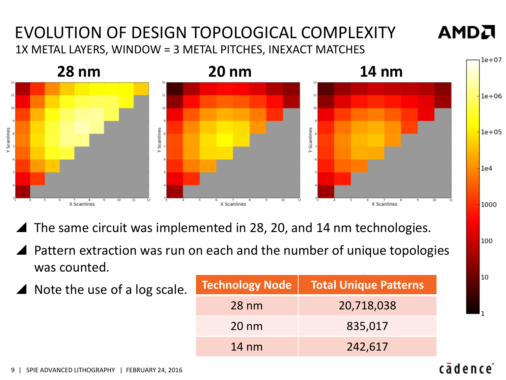# EVOLUTION OF DESIGN TOPOLOGICAL COMPLEXITY 1X METAL LAYERS, WINDOW = 3 METAL PITCHES, INEXACT MATCHES



**AMDA** 

100

10

- The same circuit was implemented in 28, 20, and 14 nm technologies.
- Pattern extraction was run on each and the number of unique topologies was counted.
	- Note the use of a log scale. **Technology Node Total Unique Patterns** 28 nm 20,718,038 20 nm 835,017 14 nm 242,617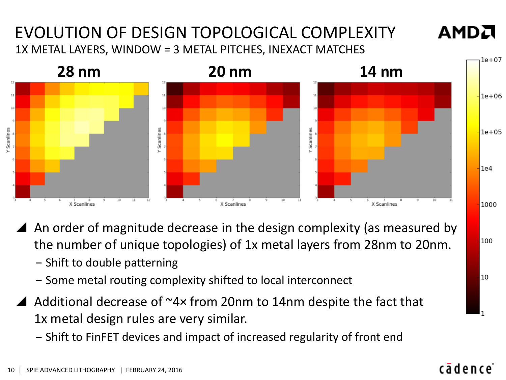# EVOLUTION OF DESIGN TOPOLOGICAL COMPLEXITY 1X METAL LAYERS, WINDOW = 3 METAL PITCHES, INEXACT MATCHES



- An order of magnitude decrease in the design complexity (as measured by the number of unique topologies) of 1x metal layers from 28nm to 20nm.
	- ‒ Shift to double patterning
	- ‒ Some metal routing complexity shifted to local interconnect
- $\triangle$  Additional decrease of  $\sim$ 4× from 20nm to 14nm despite the fact that 1x metal design rules are very similar.
	- ‒ Shift to FinFET devices and impact of increased regularity of front end

100

10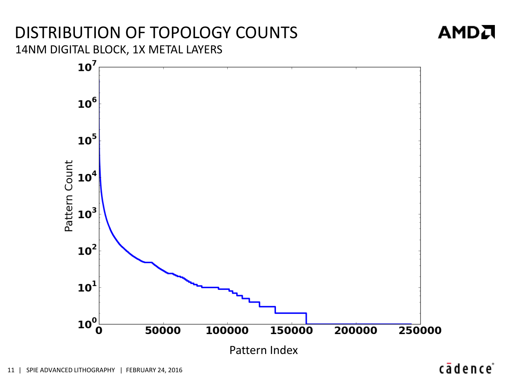# DISTRIBUTION OF TOPOLOGY COUNTS 14NM DIGITAL BLOCK, 1X METAL LAYERS



# cādence®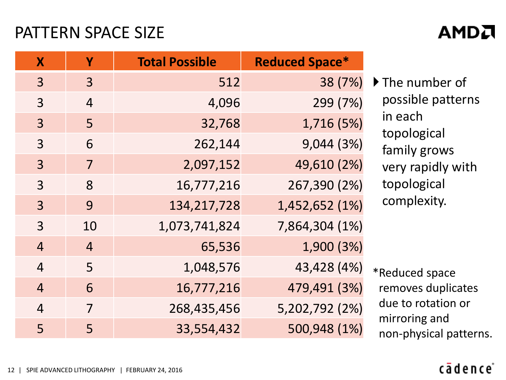# PATTERN SPACE SIZE

# **X Y Total Possible Reduced Space\*** 3 3 512 38 (7%) 3 4 4,096 299 (7%) 3 5 32,768 1,716 (5%) 3 6 262,144 9,044 (3%) 3 7 2,097,152 49,610 (2%) 3 8 16,777,216 267,390 (2%) 3 9 134,217,728 1,452,652 (1%) 3 10 1,073,741,824 7,864,304 (1%) 4 4 65,536 1,900 (3%) 4 5 1,048,576 43,428 (4%) 4 6 16,777,216 479,491 (3%) 4 7 268,435,456 5,202,792 (2%) 5 5 33,554,432 500,948 (1%)

If The number of possible patterns in each topological family grows very rapidly with topological complexity.

\*Reduced space removes duplicates due to rotation or mirroring and non-physical patterns.

# cādence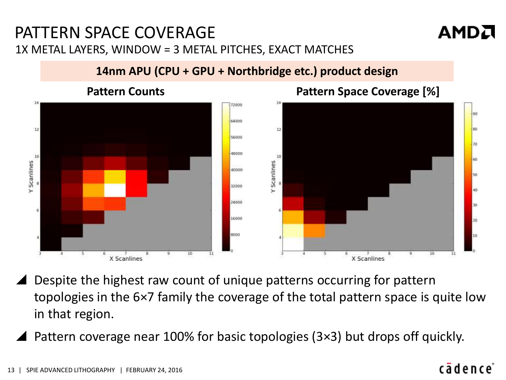# PATTERN SPACE COVERAGE 1X METAL LAYERS, WINDOW = 3 METAL PITCHES, EXACT MATCHES



## **14nm APU (CPU + GPU + Northbridge etc.) product design**



- Despite the highest raw count of unique patterns occurring for pattern topologies in the 6×7 family the coverage of the total pattern space is quite low in that region.
- Pattern coverage near 100% for basic topologies (3×3) but drops off quickly.

# cādence<sup>®</sup>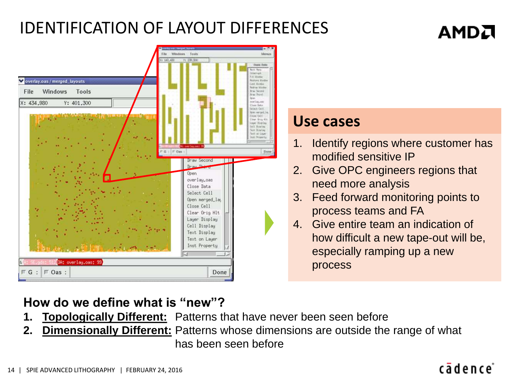# IDENTIFICATION OF LAYOUT DIFFERENCES

### **Masdows** Toyota **Adviser** overlay.oas / merged\_layouts solidade dila ALL MANAGER letrau Mood File Windows Tools from Third X: 434,980 Y: 401.300 inar Jaycee Elver Data wint fall **Use cases**lear from 41 **Saw Bisilin** 1. Identify regions where customer has modified sensitive IP **Inaw Second** 2. Give OPC engineers regions that Open overlay.oas need more analysis Close Data Select Cell 3. Feed forward monitoring points to Open merged\_lay Close Cell process teams and FA Clear Orig Hlt Layer Display 4. Give entire team an indication of Cell Display Text Display how difficult a new tape-out will be, Text on Layer Inst Property especially ramping up a new OA: overlay.oas: 99 process  $\Box$  Oas :  $\mathbb{F}$  G Done

# **How do we define what is "new"?**

- **1. Topologically Different:** Patterns that have never been seen before
- **2. Dimensionally Different:** Patterns whose dimensions are outside the range of what has been seen before

# cādence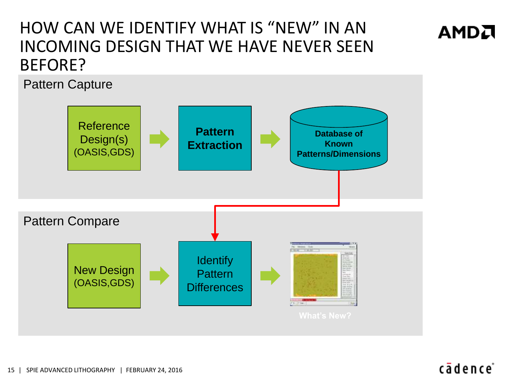# HOW CAN WE IDENTIFY WHAT IS "NEW" IN AN INCOMING DESIGN THAT WE HAVE NEVER SEEN BEFORE?

Pattern Capture



# cādence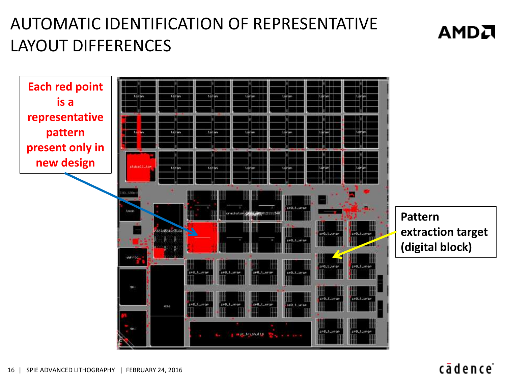# AUTOMATIC IDENTIFICATION OF REPRESENTATIVE LAYOUT DIFFERENCES

**Each red point is a representative pattern present only in new design**



**Pattern extraction target (digital block)**

**AMDA**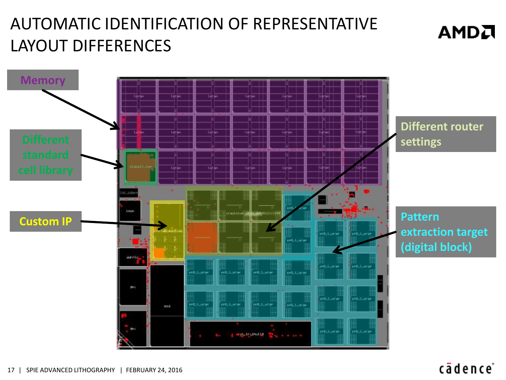# AUTOMATIC IDENTIFICATION OF REPRESENTATIVE LAYOUT DIFFERENCES



# cādence<sup>®</sup>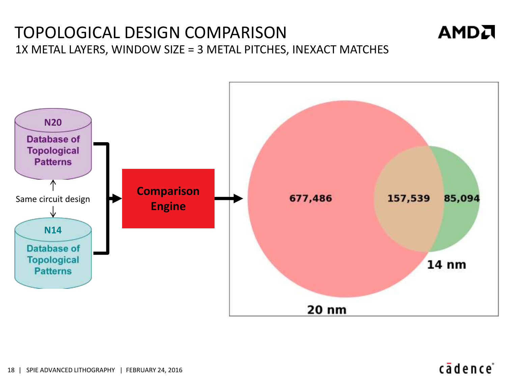# TOPOLOGICAL DESIGN COMPARISON 1X METAL LAYERS, WINDOW SIZE = 3 METAL PITCHES, INEXACT MATCHES



# cādence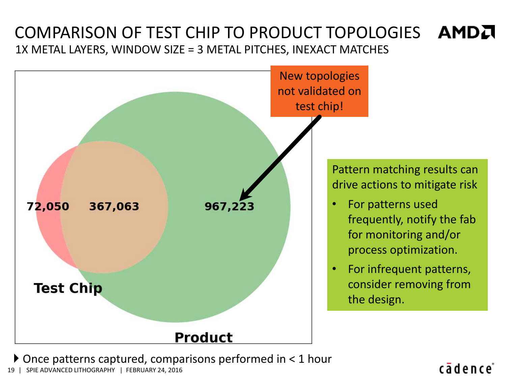# COMPARISON OF TEST CHIP TO PRODUCT TOPOLOGIES AMDA 1X METAL LAYERS, WINDOW SIZE = 3 METAL PITCHES, INEXACT MATCHES



Once patterns captured, comparisons performed in < 1 hour

19 | SPIE ADVANCED LITHOGRAPHY | FEBRUARY 24, 2016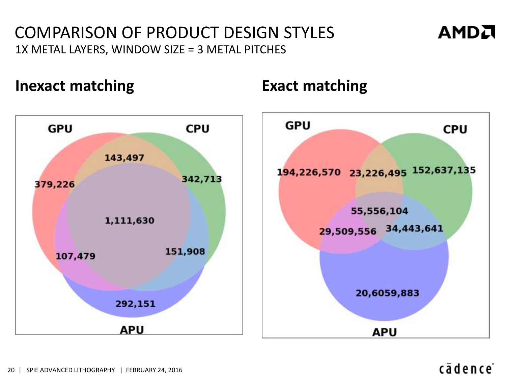# COMPARISON OF PRODUCT DESIGN STYLES 1X METAL LAYERS, WINDOW SIZE = 3 METAL PITCHES

# **Inexact matching Exact matching**



# cādence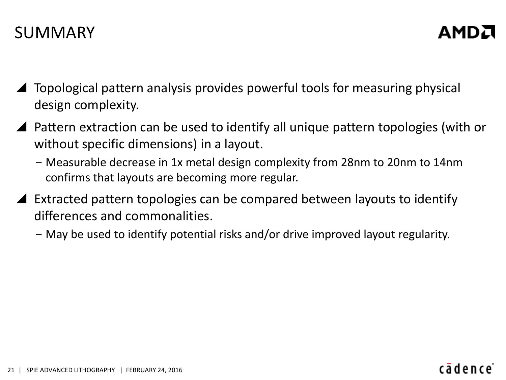- Topological pattern analysis provides powerful tools for measuring physical design complexity.
- ▲ Pattern extraction can be used to identify all unique pattern topologies (with or without specific dimensions) in a layout.
	- ‒ Measurable decrease in 1x metal design complexity from 28nm to 20nm to 14nm confirms that layouts are becoming more regular.
- Extracted pattern topologies can be compared between layouts to identify differences and commonalities.
	- ‒ May be used to identify potential risks and/or drive improved layout regularity.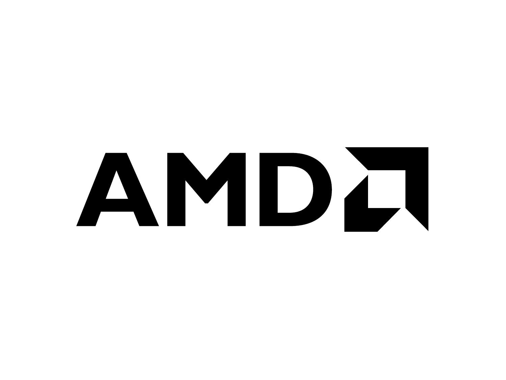# AMDZ